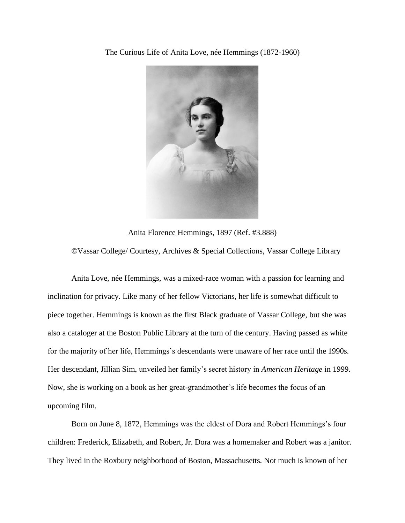The Curious Life of Anita Love, née Hemmings (1872-1960)



Anita Florence Hemmings, 1897 (Ref. #3.888)

©Vassar College/ Courtesy, Archives & Special Collections, Vassar College Library

Anita Love, née Hemmings, was a mixed-race woman with a passion for learning and inclination for privacy. Like many of her fellow Victorians, her life is somewhat difficult to piece together. Hemmings is known as the first Black graduate of Vassar College, but she was also a cataloger at the Boston Public Library at the turn of the century. Having passed as white for the majority of her life, Hemmings's descendants were unaware of her race until the 1990s. Her descendant, Jillian Sim, unveiled her family's secret history in *American Heritage* in 1999. Now, she is working on a book as her great-grandmother's life becomes the focus of an upcoming film.

Born on June 8, 1872, Hemmings was the eldest of Dora and Robert Hemmings's four children: Frederick, Elizabeth, and Robert, Jr. Dora was a homemaker and Robert was a janitor. They lived in the Roxbury neighborhood of Boston, Massachusetts. Not much is known of her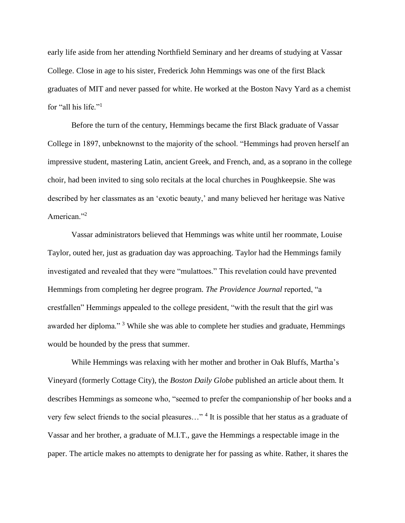early life aside from her attending Northfield Seminary and her dreams of studying at Vassar College. Close in age to his sister, Frederick John Hemmings was one of the first Black graduates of MIT and never passed for white. He worked at the Boston Navy Yard as a chemist for "all his life."<sup>1</sup>

Before the turn of the century, Hemmings became the first Black graduate of Vassar College in 1897, unbeknownst to the majority of the school. "Hemmings had proven herself an impressive student, mastering Latin, ancient Greek, and French, and, as a soprano in the college choir, had been invited to sing solo recitals at the local churches in Poughkeepsie. She was described by her classmates as an 'exotic beauty,' and many believed her heritage was Native American."<sup>2</sup>

Vassar administrators believed that Hemmings was white until her roommate, Louise Taylor, outed her, just as graduation day was approaching. Taylor had the Hemmings family investigated and revealed that they were "mulattoes." This revelation could have prevented Hemmings from completing her degree program. *The Providence Journal* reported, "a crestfallen" Hemmings appealed to the college president, "with the result that the girl was awarded her diploma." <sup>3</sup> While she was able to complete her studies and graduate, Hemmings would be hounded by the press that summer.

While Hemmings was relaxing with her mother and brother in Oak Bluffs, Martha's Vineyard (formerly Cottage City), the *Boston Daily Globe* published an article about them. It describes Hemmings as someone who, "seemed to prefer the companionship of her books and a very few select friends to the social pleasures..."<sup>4</sup> It is possible that her status as a graduate of Vassar and her brother, a graduate of M.I.T., gave the Hemmings a respectable image in the paper. The article makes no attempts to denigrate her for passing as white. Rather, it shares the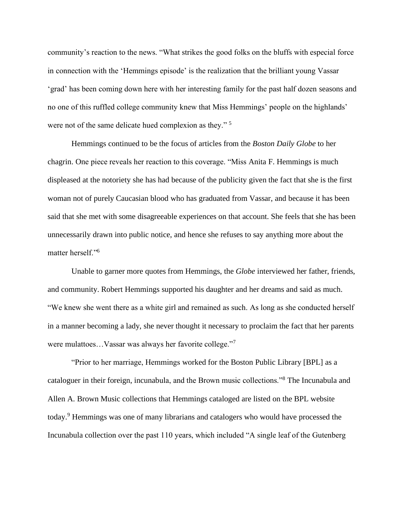community's reaction to the news. "What strikes the good folks on the bluffs with especial force in connection with the 'Hemmings episode' is the realization that the brilliant young Vassar 'grad' has been coming down here with her interesting family for the past half dozen seasons and no one of this ruffled college community knew that Miss Hemmings' people on the highlands' were not of the same delicate hued complexion as they." <sup>5</sup>

Hemmings continued to be the focus of articles from the *Boston Daily Globe* to her chagrin. One piece reveals her reaction to this coverage. "Miss Anita F. Hemmings is much displeased at the notoriety she has had because of the publicity given the fact that she is the first woman not of purely Caucasian blood who has graduated from Vassar, and because it has been said that she met with some disagreeable experiences on that account. She feels that she has been unnecessarily drawn into public notice, and hence she refuses to say anything more about the matter herself."<sup>6</sup>

Unable to garner more quotes from Hemmings, the *Globe* interviewed her father, friends, and community. Robert Hemmings supported his daughter and her dreams and said as much. "We knew she went there as a white girl and remained as such. As long as she conducted herself in a manner becoming a lady, she never thought it necessary to proclaim the fact that her parents were mulattoes…Vassar was always her favorite college."<sup>7</sup>

"Prior to her marriage, Hemmings worked for the Boston Public Library [BPL] as a cataloguer in their foreign, incunabula, and the Brown music collections."<sup>8</sup> The Incunabula and Allen A. Brown Music collections that Hemmings cataloged are listed on the BPL website today.<sup>9</sup> Hemmings was one of many librarians and catalogers who would have processed the Incunabula collection over the past 110 years, which included "A single leaf of the Gutenberg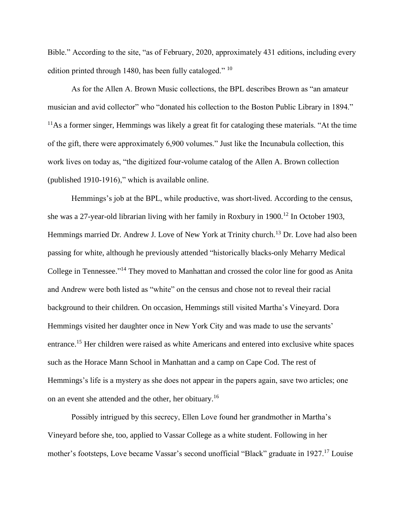Bible." According to the site, "as of February, 2020, approximately 431 editions, including every edition printed through 1480, has been fully cataloged." <sup>10</sup>

As for the Allen A. Brown Music collections, the BPL describes Brown as "an amateur musician and avid collector" who "donated his collection to the Boston Public Library in 1894."  $11\text{As}$  a former singer, Hemmings was likely a great fit for cataloging these materials. "At the time of the gift, there were approximately 6,900 volumes." Just like the Incunabula collection, this work lives on today as, "the digitized four-volume catalog of the Allen A. Brown collection (published 1910-1916)," which is available online.

Hemmings's job at the BPL, while productive, was short-lived. According to the census, she was a 27-year-old librarian living with her family in Roxbury in 1900.<sup>12</sup> In October 1903, Hemmings married Dr. Andrew J. Love of New York at Trinity church.<sup>13</sup> Dr. Love had also been passing for white, although he previously attended "historically blacks-only Meharry Medical College in Tennessee."<sup>14</sup> They moved to Manhattan and crossed the color line for good as Anita and Andrew were both listed as "white" on the census and chose not to reveal their racial background to their children. On occasion, Hemmings still visited Martha's Vineyard. Dora Hemmings visited her daughter once in New York City and was made to use the servants' entrance.<sup>15</sup> Her children were raised as white Americans and entered into exclusive white spaces such as the Horace Mann School in Manhattan and a camp on Cape Cod. The rest of Hemmings's life is a mystery as she does not appear in the papers again, save two articles; one on an event she attended and the other, her obituary.<sup>16</sup>

Possibly intrigued by this secrecy, Ellen Love found her grandmother in Martha's Vineyard before she, too, applied to Vassar College as a white student. Following in her mother's footsteps, Love became Vassar's second unofficial "Black" graduate in 1927.<sup>17</sup> Louise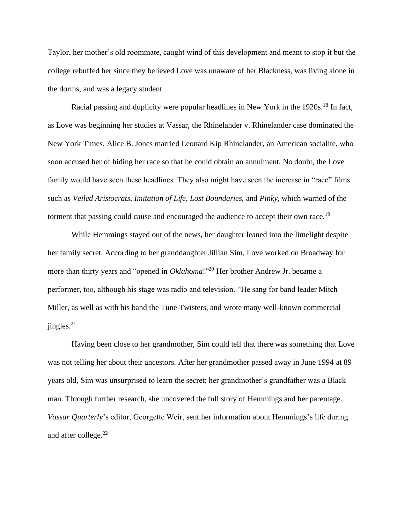Taylor, her mother's old roommate, caught wind of this development and meant to stop it but the college rebuffed her since they believed Love was unaware of her Blackness, was living alone in the dorms, and was a legacy student.

Racial passing and duplicity were popular headlines in New York in the 1920s.<sup>18</sup> In fact, as Love was beginning her studies at Vassar, the Rhinelander v. Rhinelander case dominated the New York Times. Alice B. Jones married Leonard Kip Rhinelander, an American socialite, who soon accused her of hiding her race so that he could obtain an annulment. No doubt, the Love family would have seen these headlines. They also might have seen the increase in "race" films such as *Veiled Aristocrats*, *Imitation of Life*, *Lost Boundaries*, and *Pinky*, which warned of the torment that passing could cause and encouraged the audience to accept their own race.<sup>19</sup>

While Hemmings stayed out of the news, her daughter leaned into the limelight despite her family secret. According to her granddaughter Jillian Sim, Love worked on Broadway for more than thirty years and "opened in *Oklahoma*!"<sup>20</sup> Her brother Andrew Jr. became a performer, too, although his stage was radio and television. "He sang for band leader Mitch Miller, as well as with his band the Tune Twisters, and wrote many well-known commercial  $j$ ingles.<sup>21</sup>

Having been close to her grandmother, Sim could tell that there was something that Love was not telling her about their ancestors. After her grandmother passed away in June 1994 at 89 years old, Sim was unsurprised to learn the secret; her grandmother's grandfather was a Black man. Through further research, she uncovered the full story of Hemmings and her parentage. *Vassar Quarterly*'s editor, Georgette Weir, sent her information about Hemmings's life during and after college.<sup>22</sup>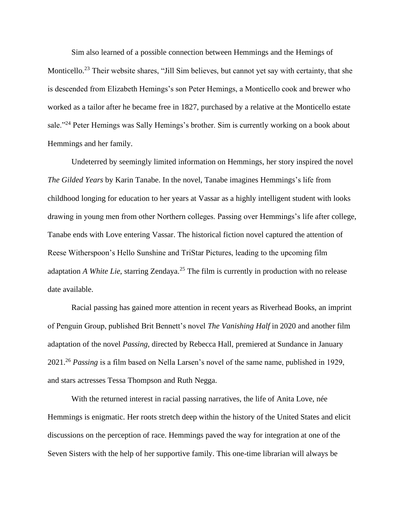Sim also learned of a possible connection between Hemmings and the Hemings of Monticello.<sup>23</sup> Their website shares, "Jill Sim believes, but cannot yet say with certainty, that she is descended from Elizabeth Hemings's son Peter Hemings, a Monticello cook and brewer who worked as a tailor after he became free in 1827, purchased by a relative at the Monticello estate sale."<sup>24</sup> Peter Hemings was Sally Hemings's brother. Sim is currently working on a book about Hemmings and her family.

Undeterred by seemingly limited information on Hemmings, her story inspired the novel *The Gilded Years* by Karin Tanabe. In the novel, Tanabe imagines Hemmings's life from childhood longing for education to her years at Vassar as a highly intelligent student with looks drawing in young men from other Northern colleges. Passing over Hemmings's life after college, Tanabe ends with Love entering Vassar. The historical fiction novel captured the attention of Reese Witherspoon's Hello Sunshine and TriStar Pictures, leading to the upcoming film adaptation *A White Lie*, starring Zendaya.<sup>25</sup> The film is currently in production with no release date available.

Racial passing has gained more attention in recent years as Riverhead Books, an imprint of Penguin Group, published Brit Bennett's novel *The Vanishing Half* in 2020 and another film adaptation of the novel *Passing,* directed by Rebecca Hall, premiered at Sundance in January 2021.<sup>26</sup> *Passing* is a film based on Nella Larsen's novel of the same name, published in 1929, and stars actresses Tessa Thompson and Ruth Negga.

With the returned interest in racial passing narratives, the life of Anita Love, née Hemmings is enigmatic. Her roots stretch deep within the history of the United States and elicit discussions on the perception of race. Hemmings paved the way for integration at one of the Seven Sisters with the help of her supportive family. This one-time librarian will always be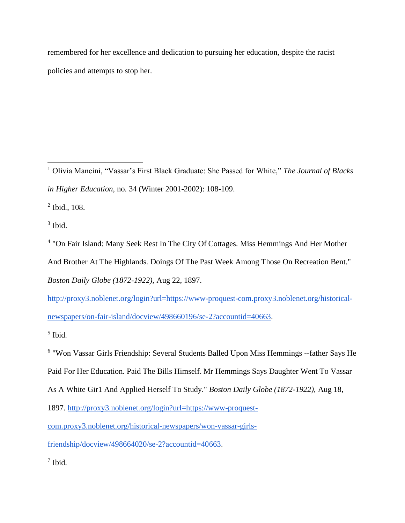remembered for her excellence and dedication to pursuing her education, despite the racist policies and attempts to stop her.

<sup>1</sup> Olivia Mancini, "Vassar's First Black Graduate: She Passed for White," *The Journal of Blacks in Higher Education*, no. 34 (Winter 2001-2002): 108-109.

<sup>2</sup> Ibid., 108.

3 Ibid.

<sup>4</sup> "On Fair Island: Many Seek Rest In The City Of Cottages. Miss Hemmings And Her Mother And Brother At The Highlands. Doings Of The Past Week Among Those On Recreation Bent." *Boston Daily Globe (1872-1922),* Aug 22, 1897.

[http://proxy3.noblenet.org/login?url=https://www-proquest-com.proxy3.noblenet.org/historical](about:blank)[newspapers/on-fair-island/docview/498660196/se-2?accountid=40663.](about:blank)

5 Ibid.

<sup>6</sup> "Won Vassar Girls Friendship: Several Students Balled Upon Miss Hemmings --father Says He Paid For Her Education. Paid The Bills Himself. Mr Hemmings Says Daughter Went To Vassar

As A White Gir1 And Applied Herself To Study." *Boston Daily Globe (1872-1922),* Aug 18,

1897. [http://proxy3.noblenet.org/login?url=https://www-proquest-](about:blank)

[com.proxy3.noblenet.org/historical-newspapers/won-vassar-girls-](about:blank)

[friendship/docview/498664020/se-2?accountid=40663.](about:blank)

7 Ibid.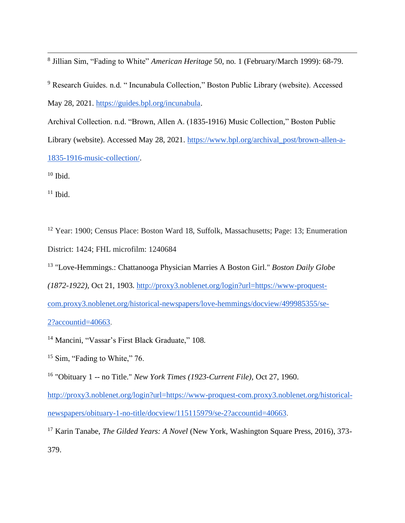8 Jillian Sim, "Fading to White" *American Heritage* 50, no. 1 (February/March 1999): 68-79.

<sup>9</sup> Research Guides. n.d. " Incunabula Collection," Boston Public Library (website). Accessed May 28, 2021. [https://guides.bpl.org/incunabula.](about:blank)

Archival Collection. n.d. "Brown, Allen A. (1835-1916) Music Collection," Boston Public Library (website). Accessed May 28, 2021. [https://www.bpl.org/archival\\_post/brown-allen-a-](about:blank)[1835-1916-music-collection/.](about:blank)

 $10$  Ibid.

 $11$  Ibid.

<sup>12</sup> Year: 1900; Census Place: Boston Ward 18, Suffolk, Massachusetts; Page: 13; Enumeration District: 1424; FHL microfilm: 1240684

<sup>13</sup> "Love-Hemmings.: Chattanooga Physician Marries A Boston Girl." *Boston Daily Globe* 

*(1872-1922),* Oct 21, 1903. [http://proxy3.noblenet.org/login?url=https://www-proquest-](about:blank)

[com.proxy3.noblenet.org/historical-newspapers/love-hemmings/docview/499985355/se-](about:blank)

[2?accountid=40663.](about:blank)

<sup>14</sup> Mancini, "Vassar's First Black Graduate," 108.

<sup>15</sup> Sim, "Fading to White," 76.

<sup>16</sup> "Obituary 1 -- no Title." *New York Times (1923-Current File),* Oct 27, 1960.

[http://proxy3.noblenet.org/login?url=https://www-proquest-com.proxy3.noblenet.org/historical](about:blank)[newspapers/obituary-1-no-title/docview/115115979/se-2?accountid=40663.](about:blank)

<sup>17</sup> Karin Tanabe, *The Gilded Years: A Novel* (New York, Washington Square Press, 2016), 373-379.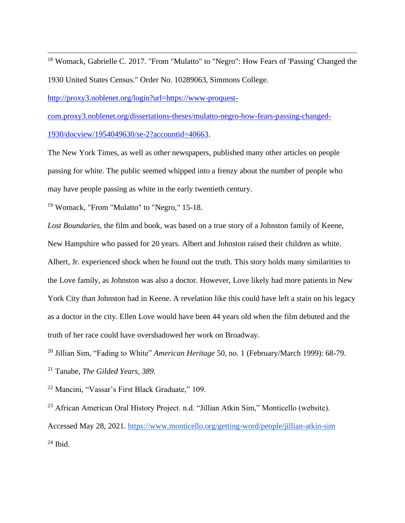<sup>18</sup> Womack, Gabrielle C. 2017. "From "Mulatto" to "Negro": How Fears of 'Passing' Changed the 1930 United States Census." Order No. 10289063, Simmons College.

[http://proxy3.noblenet.org/login?url=https://www-proquest-](about:blank)

[com.proxy3.noblenet.org/dissertations-theses/mulatto-negro-how-fears-passing-changed-](about:blank)

[1930/docview/1954049630/se-2?accountid=40663.](about:blank)

The New York Times, as well as other newspapers, published many other articles on people passing for white. The public seemed whipped into a frenzy about the number of people who may have people passing as white in the early twentieth century.

<sup>19</sup> Womack, "From "Mulatto" to "Negro," 15-18.

*Lost Boundaries,* the film and book*,* was based on a true story of a Johnston family of Keene, New Hampshire who passed for 20 years. Albert and Johnston raised their children as white. Albert, Jr. experienced shock when he found out the truth. This story holds many similarities to the Love family, as Johnston was also a doctor. However, Love likely had more patients in New York City than Johnston had in Keene. A revelation like this could have left a stain on his legacy as a doctor in the city. Ellen Love would have been 44 years old when the film debuted and the truth of her race could have overshadowed her work on Broadway.

<sup>20</sup> Jillian Sim, "Fading to White" *American Heritage* 50, no. 1 (February/March 1999): 68-79.

<sup>21</sup> Tanabe, *The Gilded Years, 389.*

<sup>22</sup> Mancini, "Vassar's First Black Graduate," 109.

<sup>23</sup> African American Oral History Project. n.d. "Jillian Atkin Sim," Monticello (website). Accessed May 28, 2021. [https://www.monticello.org/getting-word/people/jillian-atkin-sim](about:blank)  $24$  Ibid.